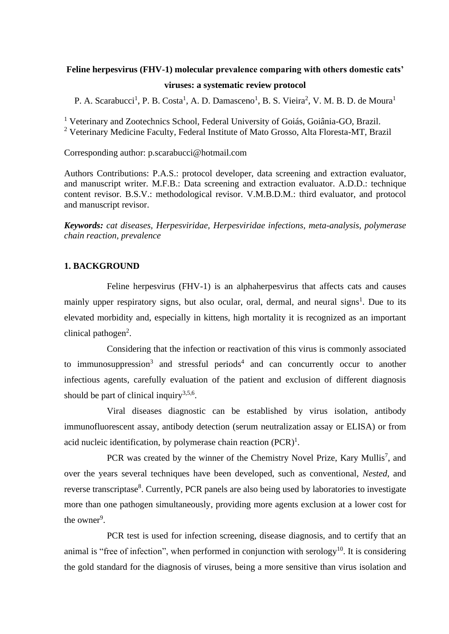# **Feline herpesvirus (FHV-1) molecular prevalence comparing with others domestic cats' viruses: a systematic review protocol**

P. A. Scarabucci<sup>1</sup>, P. B. Costa<sup>1</sup>, A. D. Damasceno<sup>1</sup>, B. S. Vieira<sup>2</sup>, V. M. B. D. de Moura<sup>1</sup>

<sup>1</sup> Veterinary and Zootechnics School, Federal University of Goiás, Goiânia-GO, Brazil. <sup>2</sup> Veterinary Medicine Faculty, Federal Institute of Mato Grosso, Alta Floresta-MT, Brazil

Corresponding author: p.scarabucci@hotmail.com

Authors Contributions: P.A.S.: protocol developer, data screening and extraction evaluator, and manuscript writer. M.F.B.: Data screening and extraction evaluator. A.D.D.: technique content revisor. B.S.V.: methodological revisor. V.M.B.D.M.: third evaluator, and protocol and manuscript revisor.

*Keywords: cat diseases, Herpesviridae, Herpesviridae infections, meta-analysis, polymerase chain reaction, prevalence*

# **1. BACKGROUND**

Feline herpesvirus (FHV-1) is an alphaherpesvirus that affects cats and causes mainly upper respiratory signs, but also ocular, oral, dermal, and neural signs<sup>1</sup>. Due to its elevated morbidity and, especially in kittens, high mortality it is recognized as an important clinical pathogen<sup>2</sup>.

Considering that the infection or reactivation of this virus is commonly associated to immunosuppression<sup>3</sup> and stressful periods<sup>4</sup> and can concurrently occur to another infectious agents, carefully evaluation of the patient and exclusion of different diagnosis should be part of clinical inquiry $3,5,6$ .

Viral diseases diagnostic can be established by virus isolation, antibody immunofluorescent assay, antibody detection (serum neutralization assay or ELISA) or from acid nucleic identification, by polymerase chain reaction  $(PCR)^1$ .

PCR was created by the winner of the Chemistry Novel Prize, Kary Mullis<sup>7</sup>, and over the years several techniques have been developed, such as conventional, *Nested,* and reverse transcriptase<sup>8</sup>. Currently, PCR panels are also being used by laboratories to investigate more than one pathogen simultaneously, providing more agents exclusion at a lower cost for the owner<sup>9</sup>.

PCR test is used for infection screening, disease diagnosis, and to certify that an animal is "free of infection", when performed in conjunction with serology<sup>10</sup>. It is considering the gold standard for the diagnosis of viruses, being a more sensitive than virus isolation and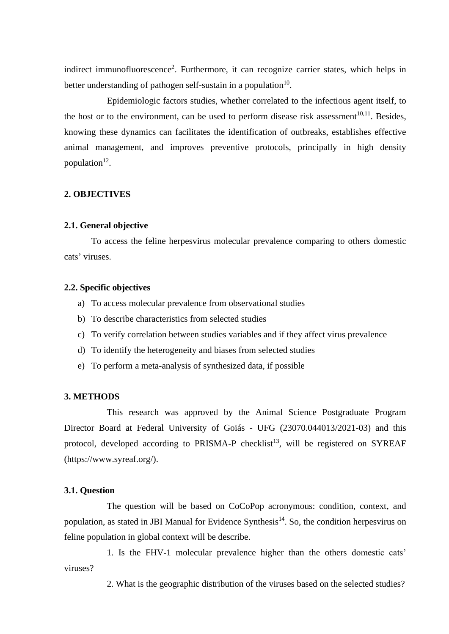indirect immunofluorescence<sup>2</sup>. Furthermore, it can recognize carrier states, which helps in better understanding of pathogen self-sustain in a population $10$ .

Epidemiologic factors studies, whether correlated to the infectious agent itself, to the host or to the environment, can be used to perform disease risk assessment<sup>10,11</sup>. Besides, knowing these dynamics can facilitates the identification of outbreaks, establishes effective animal management, and improves preventive protocols, principally in high density population $12$ .

# **2. OBJECTIVES**

#### **2.1. General objective**

To access the feline herpesvirus molecular prevalence comparing to others domestic cats' viruses.

#### **2.2. Specific objectives**

- a) To access molecular prevalence from observational studies
- b) To describe characteristics from selected studies
- c) To verify correlation between studies variables and if they affect virus prevalence
- d) To identify the heterogeneity and biases from selected studies
- e) To perform a meta-analysis of synthesized data, if possible

#### **3. METHODS**

This research was approved by the Animal Science Postgraduate Program Director Board at Federal University of Goiás - UFG (23070.044013/2021-03) and this protocol, developed according to PRISMA-P checklist<sup>13</sup>, will be registered on SYREAF (https://www.syreaf.org/).

### **3.1. Question**

The question will be based on CoCoPop acronymous: condition, context, and population, as stated in JBI Manual for Evidence Synthesis<sup>14</sup>. So, the condition herpesvirus on feline population in global context will be describe.

1. Is the FHV-1 molecular prevalence higher than the others domestic cats' viruses?

2. What is the geographic distribution of the viruses based on the selected studies?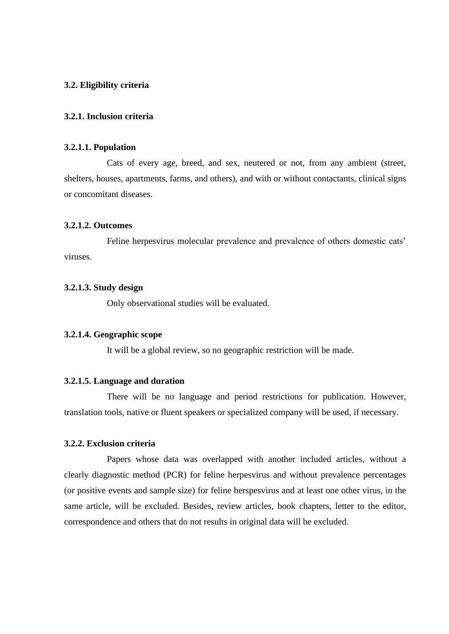### **3.2. Eligibility criteria**

#### **3.2.1. Inclusion criteria**

#### **3.2.1.1. Population**

Cats of every age, breed, and sex, neutered or not, from any ambient (street, shelters, houses, apartments, farms, and others), and with or without contactants, clinical signs or concomitant diseases.

#### **3.2.1.2. Outcomes**

Feline herpesvirus molecular prevalence and prevalence of others domestic cats' viruses.

### **3.2.1.3. Study design**

Only observational studies will be evaluated.

# **3.2.1.4. Geographic scope**

It will be a global review, so no geographic restriction will be made.

### **3.2.1.5. Language and duration**

There will be no language and period restrictions for publication. However, translation tools, native or fluent speakers or specialized company will be used, if necessary.

### **3.2.2. Exclusion criteria**

Papers whose data was overlapped with another included articles, without a clearly diagnostic method (PCR) for feline herpesvirus and without prevalence percentages (or positive events and sample size) for feline herspesvirus and at least one other virus, in the same article, will be excluded. Besides, review articles, book chapters, letter to the editor, correspondence and others that do not results in original data will be excluded.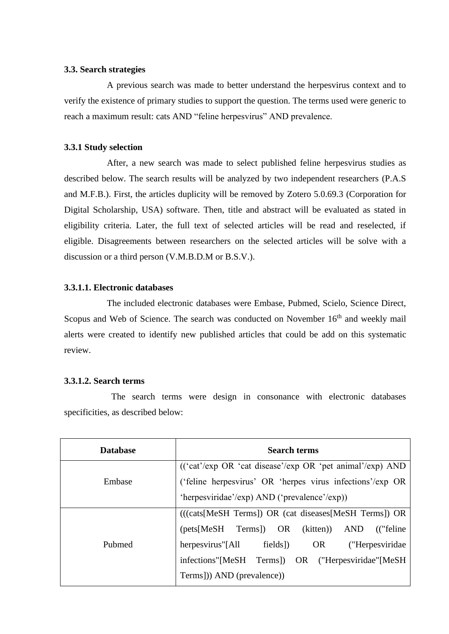### **3.3. Search strategies**

A previous search was made to better understand the herpesvirus context and to verify the existence of primary studies to support the question. The terms used were generic to reach a maximum result: cats AND "feline herpesvirus" AND prevalence.

# **3.3.1 Study selection**

After, a new search was made to select published feline herpesvirus studies as described below. The search results will be analyzed by two independent researchers (P.A.S and M.F.B.). First, the articles duplicity will be removed by Zotero 5.0.69.3 (Corporation for Digital Scholarship, USA) software. Then, title and abstract will be evaluated as stated in eligibility criteria. Later, the full text of selected articles will be read and reselected, if eligible. Disagreements between researchers on the selected articles will be solve with a discussion or a third person (V.M.B.D.M or B.S.V.).

### **3.3.1.1. Electronic databases**

The included electronic databases were Embase, Pubmed, Scielo, Science Direct, Scopus and Web of Science. The search was conducted on November 16<sup>th</sup> and weekly mail alerts were created to identify new published articles that could be add on this systematic review.

### **3.3.1.2. Search terms**

 The search terms were design in consonance with electronic databases specificities, as described below:

| <b>Database</b> | <b>Search terms</b>                                                                                 |
|-----------------|-----------------------------------------------------------------------------------------------------|
| Embase          | $((\text{`cat'}/exp \text{ OR } \text{`cat }disease'/exp \text{ OR } \text{`pet } animal'/exp)$ AND |
|                 | ('feline herpesvirus' OR 'herpes virus infections'/exp OR                                           |
|                 | 'herpesviridae'/exp) AND ('prevalence'/exp))                                                        |
| Pubmed          | (((cats[MeSH Terms]) OR (cat diseases[MeSH Terms]) OR                                               |
|                 | (pets[MeSH Terms]) OR (kitten)) AND<br>("feline")                                                   |
|                 | herpesvirus"[All<br>fields])<br>OR<br>("Herpesviridae"                                              |
|                 | infections"[MeSH Terms]) OR ("Herpesviridae"[MeSH                                                   |
|                 | Terms])) AND (prevalence))                                                                          |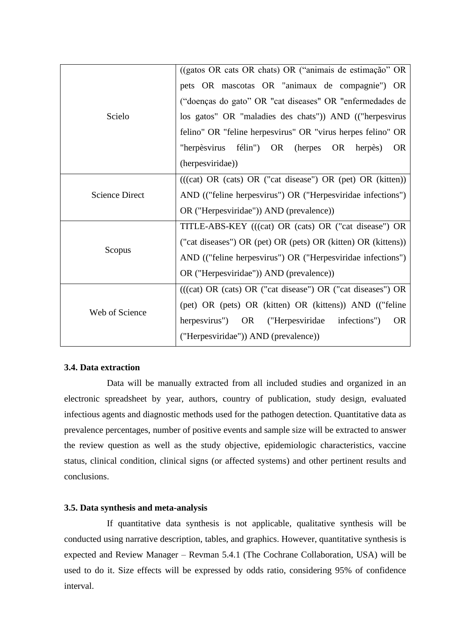|                       | ((gatos OR cats OR chats) OR ("animais de estimação" OR          |
|-----------------------|------------------------------------------------------------------|
| Scielo                | pets OR mascotas OR "animaux de compagnie") OR                   |
|                       | ("doenças do gato" OR "cat diseases" OR "enfermedades de         |
|                       | los gatos" OR "maladies des chats")) AND (("herpesvirus          |
|                       | felino" OR "feline herpesvirus" OR "virus herpes felino" OR      |
|                       | félin") OR (herpes<br>OR<br>"herpèsvirus<br>herpès)<br><b>OR</b> |
|                       | (herpesviridae))                                                 |
| <b>Science Direct</b> | $(((cat) OR (cats) OR ("cat disease") OR (pet) OR (kitten))$     |
|                       | AND (("feline herpesvirus") OR ("Herpesviridae infections")      |
|                       | OR ("Herpesviridae")) AND (prevalence))                          |
| Scopus                | TITLE-ABS-KEY (((cat) OR (cats) OR ("cat disease") OR            |
|                       | ("cat diseases") OR (pet) OR (pets) OR (kitten) OR (kittens))    |
|                       | AND (("feline herpesvirus") OR ("Herpesviridae infections")      |
|                       | OR ("Herpesviridae")) AND (prevalence))                          |
| Web of Science        | $(((cat) OR (cats) OR ("cat disease") OR ("cat disease") OR$     |
|                       | (pet) OR (pets) OR (kitten) OR (kittens)) AND (("feline")        |
|                       | herpesvirus")<br>OR<br>("Herpesviridae infections")<br><b>OR</b> |
|                       | ("Herpesviridae")) AND (prevalence))                             |

# **3.4. Data extraction**

Data will be manually extracted from all included studies and organized in an electronic spreadsheet by year, authors, country of publication, study design, evaluated infectious agents and diagnostic methods used for the pathogen detection. Quantitative data as prevalence percentages, number of positive events and sample size will be extracted to answer the review question as well as the study objective, epidemiologic characteristics, vaccine status, clinical condition, clinical signs (or affected systems) and other pertinent results and conclusions.

# **3.5. Data synthesis and meta-analysis**

If quantitative data synthesis is not applicable, qualitative synthesis will be conducted using narrative description, tables, and graphics. However, quantitative synthesis is expected and Review Manager – Revman 5.4.1 (The Cochrane Collaboration, USA) will be used to do it. Size effects will be expressed by odds ratio, considering 95% of confidence interval.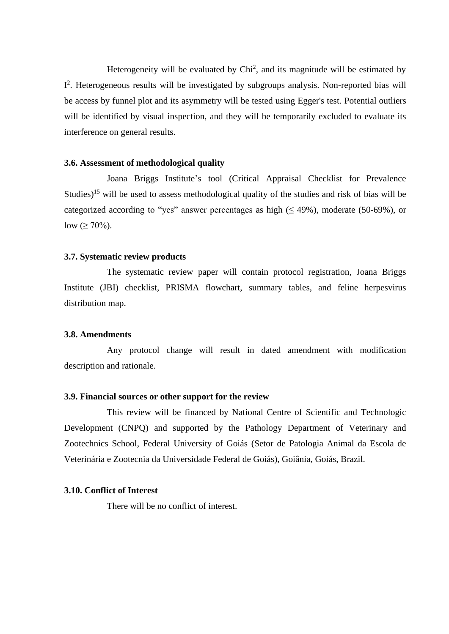Heterogeneity will be evaluated by  $Chi<sup>2</sup>$ , and its magnitude will be estimated by I<sup>2</sup>. Heterogeneous results will be investigated by subgroups analysis. Non-reported bias will be access by funnel plot and its asymmetry will be tested using Egger's test. Potential outliers will be identified by visual inspection, and they will be temporarily excluded to evaluate its interference on general results.

#### **3.6. Assessment of methodological quality**

Joana Briggs Institute's tool (Critical Appraisal Checklist for Prevalence Studies)<sup>15</sup> will be used to assess methodological quality of the studies and risk of bias will be categorized according to "yes" answer percentages as high  $(≤ 49%)$ , moderate (50-69%), or low ( $\geq 70\%$ ).

#### **3.7. Systematic review products**

The systematic review paper will contain protocol registration, Joana Briggs Institute (JBI) checklist, PRISMA flowchart, summary tables, and feline herpesvirus distribution map.

### **3.8. Amendments**

Any protocol change will result in dated amendment with modification description and rationale.

#### **3.9. Financial sources or other support for the review**

This review will be financed by National Centre of Scientific and Technologic Development (CNPQ) and supported by the Pathology Department of Veterinary and Zootechnics School, Federal University of Goiás (Setor de Patologia Animal da Escola de Veterinária e Zootecnia da Universidade Federal de Goiás), Goiânia, Goiás, Brazil.

# **3.10. Conflict of Interest**

There will be no conflict of interest.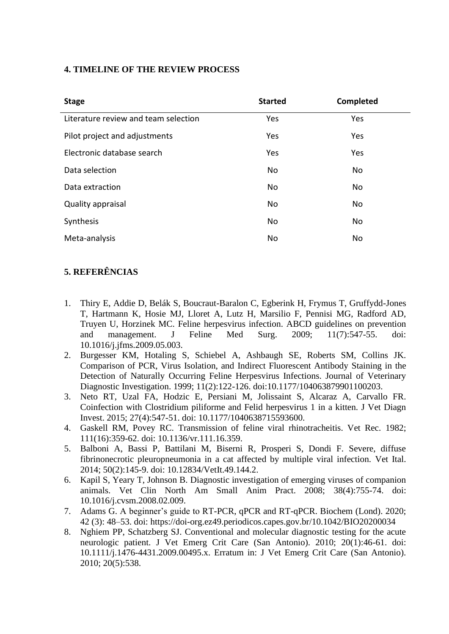# **4. TIMELINE OF THE REVIEW PROCESS**

| <b>Stage</b>                         | <b>Started</b> | Completed |
|--------------------------------------|----------------|-----------|
| Literature review and team selection | Yes            | Yes       |
| Pilot project and adjustments        | Yes            | Yes       |
| Electronic database search           | Yes            | Yes       |
| Data selection                       | No             | <b>No</b> |
| Data extraction                      | No             | <b>No</b> |
| Quality appraisal                    | No             | <b>No</b> |
| Synthesis                            | No             | <b>No</b> |
| Meta-analysis                        | No             | No        |

# **5. REFERÊNCIAS**

- 1. Thiry E, Addie D, Belák S, Boucraut-Baralon C, Egberink H, Frymus T, Gruffydd-Jones T, Hartmann K, Hosie MJ, Lloret A, Lutz H, Marsilio F, Pennisi MG, Radford AD, Truyen U, Horzinek MC. Feline herpesvirus infection. ABCD guidelines on prevention and management. J Feline Med Surg. 2009; 11(7):547-55. doi: 10.1016/j.jfms.2009.05.003.
- 2. Burgesser KM, Hotaling S, Schiebel A, Ashbaugh SE, Roberts SM, Collins JK. Comparison of PCR, Virus Isolation, and Indirect Fluorescent Antibody Staining in the Detection of Naturally Occurring Feline Herpesvirus Infections. Journal of Veterinary Diagnostic Investigation. 1999; 11(2):122-126. doi:10.1177/104063879901100203.
- 3. Neto RT, Uzal FA, Hodzic E, Persiani M, Jolissaint S, Alcaraz A, Carvallo FR. Coinfection with Clostridium piliforme and Felid herpesvirus 1 in a kitten. J Vet Diagn Invest. 2015; 27(4):547-51. doi: 10.1177/1040638715593600.
- 4. Gaskell RM, Povey RC. Transmission of feline viral rhinotracheitis. Vet Rec. 1982; 111(16):359-62. doi: 10.1136/vr.111.16.359.
- 5. Balboni A, Bassi P, Battilani M, Biserni R, Prosperi S, Dondi F. Severe, diffuse fibrinonecrotic pleuropneumonia in a cat affected by multiple viral infection. Vet Ital. 2014; 50(2):145-9. doi: 10.12834/VetIt.49.144.2.
- 6. Kapil S, Yeary T, Johnson B. Diagnostic investigation of emerging viruses of companion animals. Vet Clin North Am Small Anim Pract. 2008; 38(4):755-74. doi: 10.1016/j.cvsm.2008.02.009.
- 7. Adams G. A beginner's guide to RT-PCR, qPCR and RT-qPCR. Biochem (Lond). 2020; 42 (3): 48–53. doi: https://doi-org.ez49.periodicos.capes.gov.br/10.1042/BIO20200034
- 8. Nghiem PP, Schatzberg SJ. Conventional and molecular diagnostic testing for the acute neurologic patient. J Vet Emerg Crit Care (San Antonio). 2010; 20(1):46-61. doi: 10.1111/j.1476-4431.2009.00495.x. Erratum in: J Vet Emerg Crit Care (San Antonio). 2010; 20(5):538.